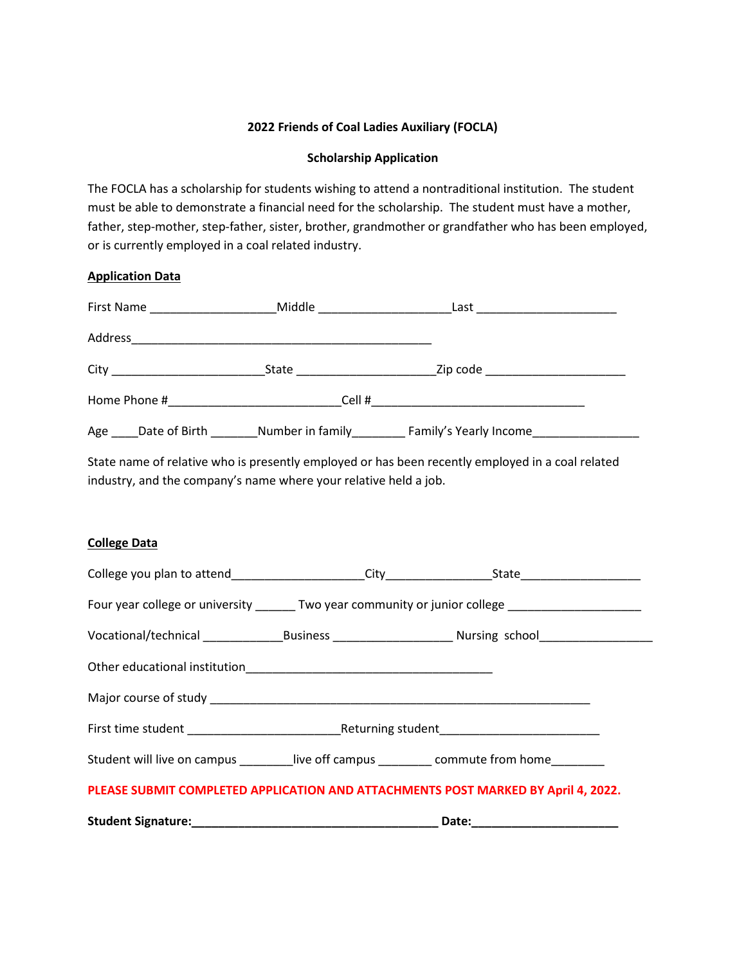## **2022 Friends of Coal Ladies Auxiliary (FOCLA)**

## **Scholarship Application**

The FOCLA has a scholarship for students wishing to attend a nontraditional institution. The student must be able to demonstrate a financial need for the scholarship. The student must have a mother, father, step-mother, step-father, sister, brother, grandmother or grandfather who has been employed, or is currently employed in a coal related industry.

## **Application Data**

|                      | Middle _____________________                                                                                   | Last ________________________        |  |
|----------------------|----------------------------------------------------------------------------------------------------------------|--------------------------------------|--|
| Address              |                                                                                                                |                                      |  |
|                      | State Parameters and the state of the state of the state of the state of the state of the state of the state o | Zip code ___________________________ |  |
| Home Phone #         |                                                                                                                |                                      |  |
| Age<br>Date of Birth | Number in family                                                                                               | Family's Yearly Income               |  |

State name of relative who is presently employed or has been recently employed in a coal related industry, and the company's name where your relative held a job.

## **College Data**

|                                                                                    |  | Four year college or university ________ Two year community or junior college _____________________            |  |  |
|------------------------------------------------------------------------------------|--|----------------------------------------------------------------------------------------------------------------|--|--|
|                                                                                    |  | Vocational/technical __________________Business _________________________________ Nursing school______________ |  |  |
|                                                                                    |  |                                                                                                                |  |  |
|                                                                                    |  |                                                                                                                |  |  |
|                                                                                    |  |                                                                                                                |  |  |
| Student will live on campus __________ live off campus _________ commute from home |  |                                                                                                                |  |  |
| PLEASE SUBMIT COMPLETED APPLICATION AND ATTACHMENTS POST MARKED BY April 4, 2022.  |  |                                                                                                                |  |  |
|                                                                                    |  |                                                                                                                |  |  |